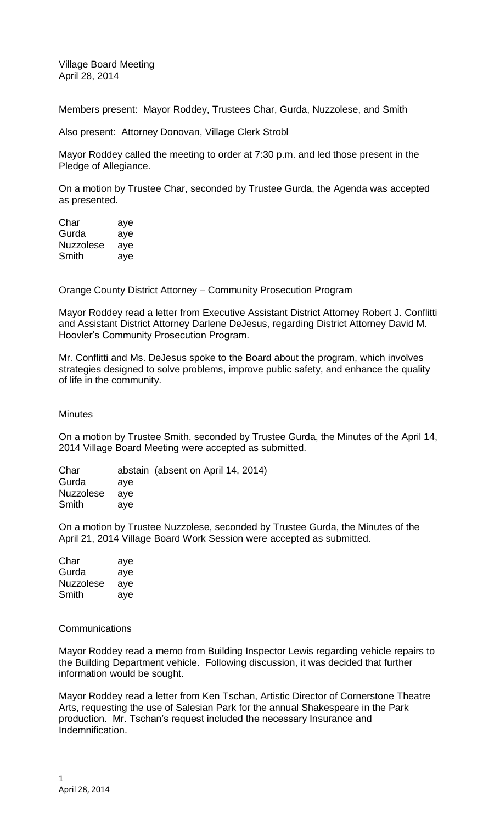Village Board Meeting April 28, 2014

Members present: Mayor Roddey, Trustees Char, Gurda, Nuzzolese, and Smith

Also present: Attorney Donovan, Village Clerk Strobl

Mayor Roddey called the meeting to order at 7:30 p.m. and led those present in the Pledge of Allegiance.

On a motion by Trustee Char, seconded by Trustee Gurda, the Agenda was accepted as presented.

| Char      | aye |
|-----------|-----|
| Gurda     | aye |
| Nuzzolese | aye |
| Smith     | aye |

Orange County District Attorney – Community Prosecution Program

Mayor Roddey read a letter from Executive Assistant District Attorney Robert J. Conflitti and Assistant District Attorney Darlene DeJesus, regarding District Attorney David M. Hoovler's Community Prosecution Program.

Mr. Conflitti and Ms. DeJesus spoke to the Board about the program, which involves strategies designed to solve problems, improve public safety, and enhance the quality of life in the community.

**Minutes** 

On a motion by Trustee Smith, seconded by Trustee Gurda, the Minutes of the April 14, 2014 Village Board Meeting were accepted as submitted.

Char abstain (absent on April 14, 2014) Gurda aye Nuzzolese aye Smith aye

On a motion by Trustee Nuzzolese, seconded by Trustee Gurda, the Minutes of the April 21, 2014 Village Board Work Session were accepted as submitted.

Char aye Gurda aye Nuzzolese aye Smith aye

**Communications** 

Mayor Roddey read a memo from Building Inspector Lewis regarding vehicle repairs to the Building Department vehicle. Following discussion, it was decided that further information would be sought.

Mayor Roddey read a letter from Ken Tschan, Artistic Director of Cornerstone Theatre Arts, requesting the use of Salesian Park for the annual Shakespeare in the Park production. Mr. Tschan's request included the necessary Insurance and Indemnification.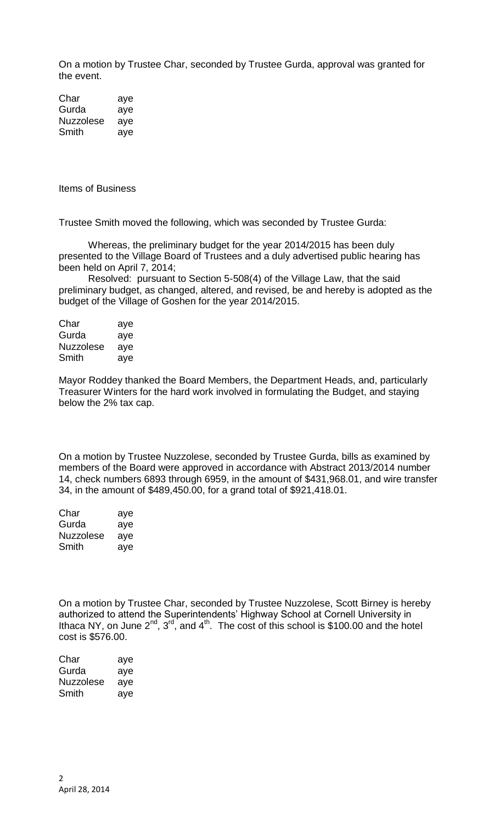On a motion by Trustee Char, seconded by Trustee Gurda, approval was granted for the event.

Char aye Gurda aye Nuzzolese aye Smith aye

Items of Business

Trustee Smith moved the following, which was seconded by Trustee Gurda:

Whereas, the preliminary budget for the year 2014/2015 has been duly presented to the Village Board of Trustees and a duly advertised public hearing has been held on April 7, 2014;

Resolved: pursuant to Section 5-508(4) of the Village Law, that the said preliminary budget, as changed, altered, and revised, be and hereby is adopted as the budget of the Village of Goshen for the year 2014/2015.

| Char      | aye |
|-----------|-----|
| Gurda     | aye |
| Nuzzolese | aye |
| Smith     | aye |

Mayor Roddey thanked the Board Members, the Department Heads, and, particularly Treasurer Winters for the hard work involved in formulating the Budget, and staying below the 2% tax cap.

On a motion by Trustee Nuzzolese, seconded by Trustee Gurda, bills as examined by members of the Board were approved in accordance with Abstract 2013/2014 number 14, check numbers 6893 through 6959, in the amount of \$431,968.01, and wire transfer 34, in the amount of \$489,450.00, for a grand total of \$921,418.01.

| Char             | aye |
|------------------|-----|
| Gurda            | aye |
| <b>Nuzzolese</b> | aye |
| Smith            | aye |

On a motion by Trustee Char, seconded by Trustee Nuzzolese, Scott Birney is hereby authorized to attend the Superintendents' Highway School at Cornell University in Ithaca NY, on June  $2^{nd}$ ,  $3^{rd}$ , and  $4^{th}$ . The cost of this school is \$100.00 and the hotel cost is \$576.00.

| Char      | aye |
|-----------|-----|
| Gurda     | aye |
| Nuzzolese | aye |
| Smith     | aye |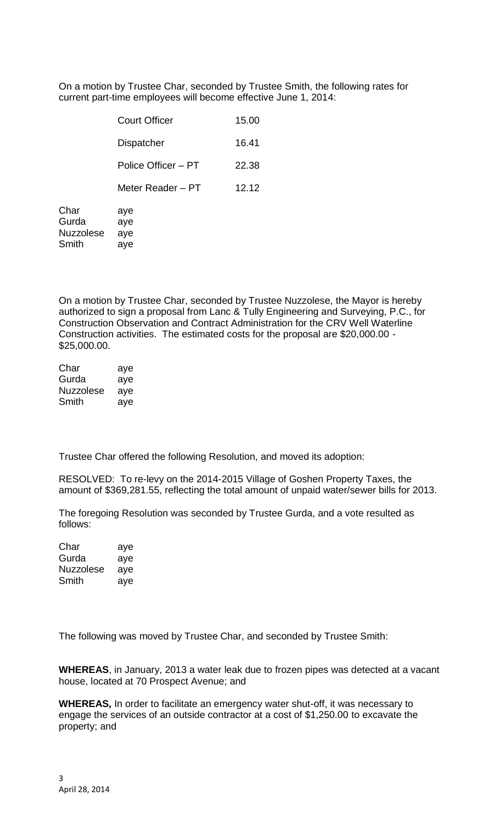On a motion by Trustee Char, seconded by Trustee Smith, the following rates for current part-time employees will become effective June 1, 2014:

|                  | <b>Court Officer</b> | 15.00 |
|------------------|----------------------|-------|
|                  | Dispatcher           | 16.41 |
|                  | Police Officer - PT  | 22.38 |
|                  | Meter Reader – PT    | 12.12 |
| Char<br>Gurda    | aye<br>aye           |       |
| <b>Nuzzolese</b> | aye                  |       |
| Smith            | aye                  |       |
|                  |                      |       |

On a motion by Trustee Char, seconded by Trustee Nuzzolese, the Mayor is hereby authorized to sign a proposal from Lanc & Tully Engineering and Surveying, P.C., for Construction Observation and Contract Administration for the CRV Well Waterline Construction activities. The estimated costs for the proposal are \$20,000.00 - \$25,000.00.

| Char      | aye |
|-----------|-----|
| Gurda     | aye |
| Nuzzolese | aye |
| Smith     | aye |

Trustee Char offered the following Resolution, and moved its adoption:

RESOLVED: To re-levy on the 2014-2015 Village of Goshen Property Taxes, the amount of \$369,281.55, reflecting the total amount of unpaid water/sewer bills for 2013.

The foregoing Resolution was seconded by Trustee Gurda, and a vote resulted as follows:

| Char      | aye |
|-----------|-----|
| Gurda     | aye |
| Nuzzolese | aye |
| Smith     | aye |

The following was moved by Trustee Char, and seconded by Trustee Smith:

**WHEREAS**, in January, 2013 a water leak due to frozen pipes was detected at a vacant house, located at 70 Prospect Avenue; and

**WHEREAS,** In order to facilitate an emergency water shut-off, it was necessary to engage the services of an outside contractor at a cost of \$1,250.00 to excavate the property; and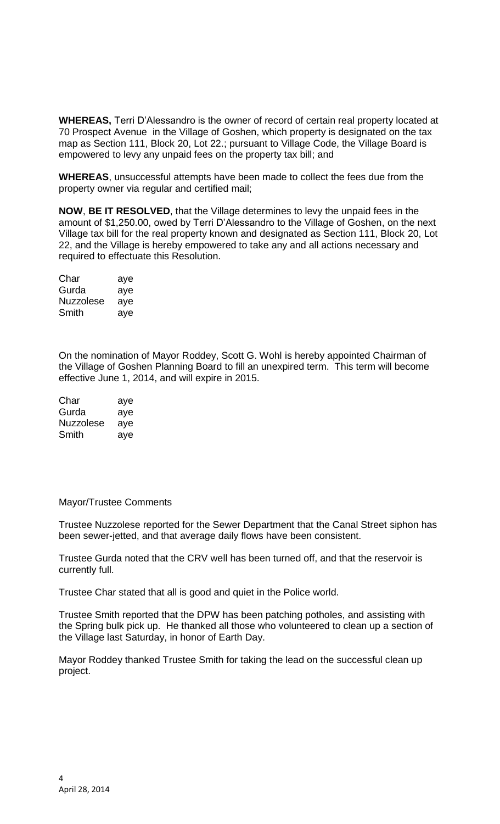**WHEREAS,** Terri D'Alessandro is the owner of record of certain real property located at 70 Prospect Avenue in the Village of Goshen, which property is designated on the tax map as Section 111, Block 20, Lot 22.; pursuant to Village Code, the Village Board is empowered to levy any unpaid fees on the property tax bill; and

**WHEREAS**, unsuccessful attempts have been made to collect the fees due from the property owner via regular and certified mail;

**NOW**, **BE IT RESOLVED**, that the Village determines to levy the unpaid fees in the amount of \$1,250.00, owed by Terri D'Alessandro to the Village of Goshen, on the next Village tax bill for the real property known and designated as Section 111, Block 20, Lot 22, and the Village is hereby empowered to take any and all actions necessary and required to effectuate this Resolution.

| Char      | aye |
|-----------|-----|
| Gurda     | aye |
| Nuzzolese | aye |
| Smith     | aye |

On the nomination of Mayor Roddey, Scott G. Wohl is hereby appointed Chairman of the Village of Goshen Planning Board to fill an unexpired term. This term will become effective June 1, 2014, and will expire in 2015.

| Char             | aye |
|------------------|-----|
| Gurda            | aye |
| <b>Nuzzolese</b> | aye |
| Smith            | aye |

## Mayor/Trustee Comments

Trustee Nuzzolese reported for the Sewer Department that the Canal Street siphon has been sewer-jetted, and that average daily flows have been consistent.

Trustee Gurda noted that the CRV well has been turned off, and that the reservoir is currently full.

Trustee Char stated that all is good and quiet in the Police world.

Trustee Smith reported that the DPW has been patching potholes, and assisting with the Spring bulk pick up. He thanked all those who volunteered to clean up a section of the Village last Saturday, in honor of Earth Day.

Mayor Roddey thanked Trustee Smith for taking the lead on the successful clean up project.